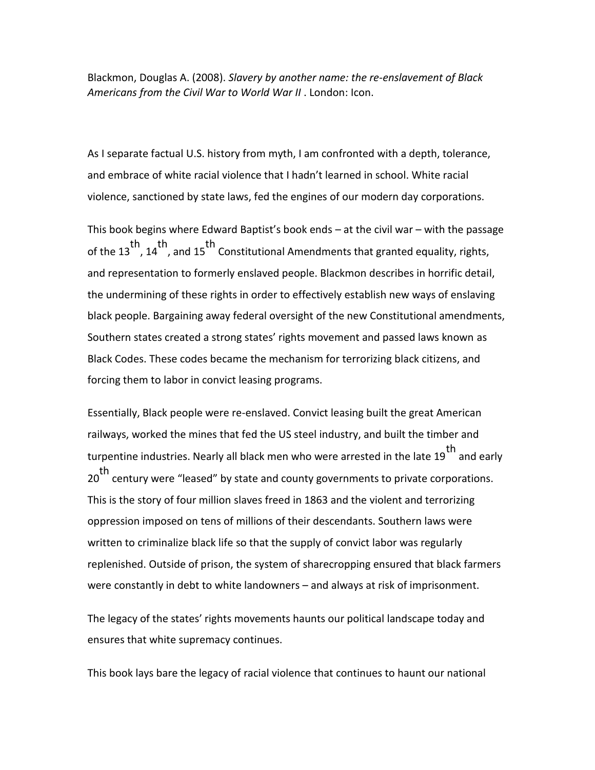Blackmon, Douglas A. (2008). *Slavery by another name: the re-enslavement of Black Americans from the Civil War to World War II* . London: Icon.

As I separate factual U.S. history from myth, I am confronted with a depth, tolerance, and embrace of white racial violence that I hadn't learned in school. White racial violence, sanctioned by state laws, fed the engines of our modern day corporations.

This book begins where Edward Baptist's book ends – at the civil war – with the passage th the 13<sup>th</sup>, and 15 Constitutional Amendments that granted equality, rights, and representation to formerly enslaved people. Blackmon describes in horrific detail, the undermining of these rights in order to effectively establish new ways of enslaving black people. Bargaining away federal oversight of the new Constitutional amendments, Southern states created a strong states' rights movement and passed laws known as Black Codes. These codes became the mechanism for terrorizing black citizens, and forcing them to labor in convict leasing programs.

Essentially, Black people were re-enslaved. Convict leasing built the great American railways, worked the mines that fed the US steel industry, and built the timber and turpentine industries. Nearly all black men who were arrested in the late 19<sup>th</sup> and early 20 th century were "leased" by state and county governments to private corporations. This is the story of four million slaves freed in 1863 and the violent and terrorizing oppression imposed on tens of millions of their descendants. Southern laws were written to criminalize black life so that the supply of convict labor was regularly replenished. Outside of prison, the system of sharecropping ensured that black farmers were constantly in debt to white landowners – and always at risk of imprisonment.

The legacy of the states' rights movements haunts our political landscape today and ensures that white supremacy continues.

This book lays bare the legacy of racial violence that continues to haunt our national